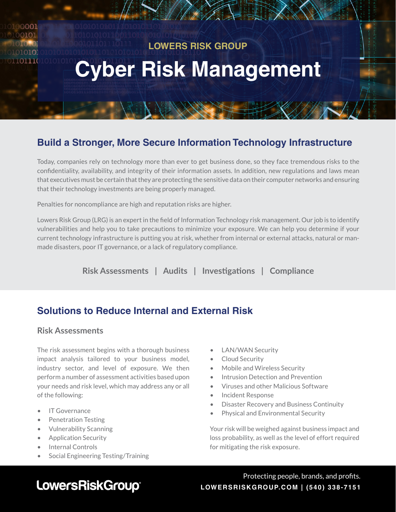# **Cyber Risk Management LOWERS RISK GROUP**

## **Build a Stronger, More Secure Information Technology Infrastructure**

Today, companies rely on technology more than ever to get business done, so they face tremendous risks to the confidentiality, availability, and integrity of their information assets. In addition, new regulations and laws mean that executives must be certain that they are protecting the sensitive data on their computer networks and ensuring that their technology investments are being properly managed.

Penalties for noncompliance are high and reputation risks are higher.

Lowers Risk Group (LRG) is an expert in the field of Information Technology risk management. Our job is to identify vulnerabilities and help you to take precautions to minimize your exposure. We can help you determine if your current technology infrastructure is putting you at risk, whether from internal or external attacks, natural or manmade disasters, poor IT governance, or a lack of regulatory compliance.

**Risk Assessments | Audits | Investigations | Compliance**

## **Solutions to Reduce Internal and External Risk**

#### **Risk Assessments**

ഥരവ

101110

The risk assessment begins with a thorough business impact analysis tailored to your business model, industry sector, and level of exposure. We then perform a number of assessment activities based upon your needs and risk level, which may address any or all of the following:

- IT Governance
- Penetration Testing
- Vulnerability Scanning
- Application Security
- Internal Controls
- Social Engineering Testing/Training
- LAN/WAN Security
- Cloud Security
- Mobile and Wireless Security
- Intrusion Detection and Prevention
- Viruses and other Malicious Software
- Incident Response
- Disaster Recovery and Business Continuity
- Physical and Environmental Security

Your risk will be weighed against business impact and loss probability, as well as the level of effort required for mitigating the risk exposure.

# LowersRiskGroup®

Protecting people, brands, and profits. **LOWERSRISKGROUP.COM | (540) 338-7151**